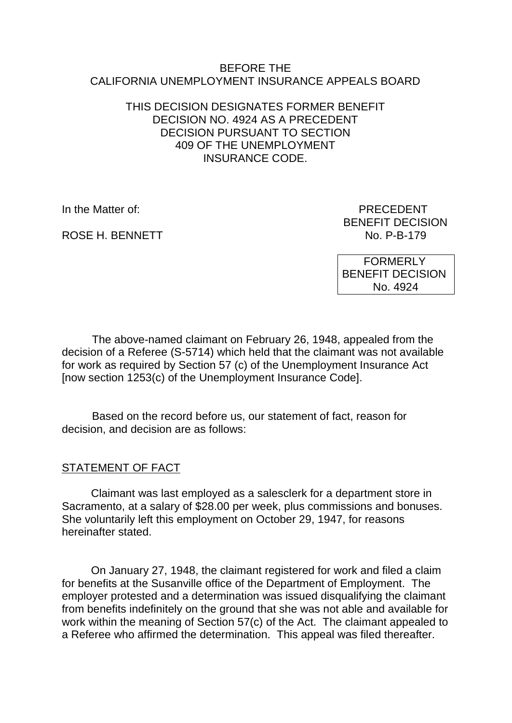#### BEFORE THE CALIFORNIA UNEMPLOYMENT INSURANCE APPEALS BOARD

### THIS DECISION DESIGNATES FORMER BENEFIT DECISION NO. 4924 AS A PRECEDENT DECISION PURSUANT TO SECTION 409 OF THE UNEMPLOYMENT INSURANCE CODE.

ROSE H. BENNETT

In the Matter of: PRECEDENT BENEFIT DECISION<br>No. P-B-179

> FORMERLY BENEFIT DECISION No. 4924

The above-named claimant on February 26, 1948, appealed from the decision of a Referee (S-5714) which held that the claimant was not available for work as required by Section 57 (c) of the Unemployment Insurance Act [now section 1253(c) of the Unemployment Insurance Code].

Based on the record before us, our statement of fact, reason for decision, and decision are as follows:

## STATEMENT OF FACT

Claimant was last employed as a salesclerk for a department store in Sacramento, at a salary of \$28.00 per week, plus commissions and bonuses. She voluntarily left this employment on October 29, 1947, for reasons hereinafter stated.

On January 27, 1948, the claimant registered for work and filed a claim for benefits at the Susanville office of the Department of Employment. The employer protested and a determination was issued disqualifying the claimant from benefits indefinitely on the ground that she was not able and available for work within the meaning of Section 57(c) of the Act. The claimant appealed to a Referee who affirmed the determination. This appeal was filed thereafter.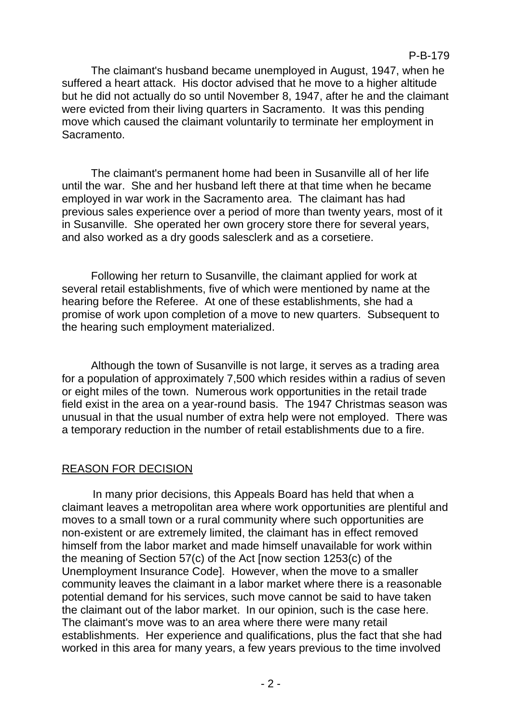#### P-B-179

The claimant's husband became unemployed in August, 1947, when he suffered a heart attack. His doctor advised that he move to a higher altitude but he did not actually do so until November 8, 1947, after he and the claimant were evicted from their living quarters in Sacramento. It was this pending move which caused the claimant voluntarily to terminate her employment in Sacramento.

The claimant's permanent home had been in Susanville all of her life until the war. She and her husband left there at that time when he became employed in war work in the Sacramento area. The claimant has had previous sales experience over a period of more than twenty years, most of it in Susanville. She operated her own grocery store there for several years, and also worked as a dry goods salesclerk and as a corsetiere.

Following her return to Susanville, the claimant applied for work at several retail establishments, five of which were mentioned by name at the hearing before the Referee. At one of these establishments, she had a promise of work upon completion of a move to new quarters. Subsequent to the hearing such employment materialized.

Although the town of Susanville is not large, it serves as a trading area for a population of approximately 7,500 which resides within a radius of seven or eight miles of the town. Numerous work opportunities in the retail trade field exist in the area on a year-round basis. The 1947 Christmas season was unusual in that the usual number of extra help were not employed. There was a temporary reduction in the number of retail establishments due to a fire.

#### REASON FOR DECISION

In many prior decisions, this Appeals Board has held that when a claimant leaves a metropolitan area where work opportunities are plentiful and moves to a small town or a rural community where such opportunities are non-existent or are extremely limited, the claimant has in effect removed himself from the labor market and made himself unavailable for work within the meaning of Section 57(c) of the Act [now section 1253(c) of the Unemployment Insurance Code]. However, when the move to a smaller community leaves the claimant in a labor market where there is a reasonable potential demand for his services, such move cannot be said to have taken the claimant out of the labor market. In our opinion, such is the case here. The claimant's move was to an area where there were many retail establishments. Her experience and qualifications, plus the fact that she had worked in this area for many years, a few years previous to the time involved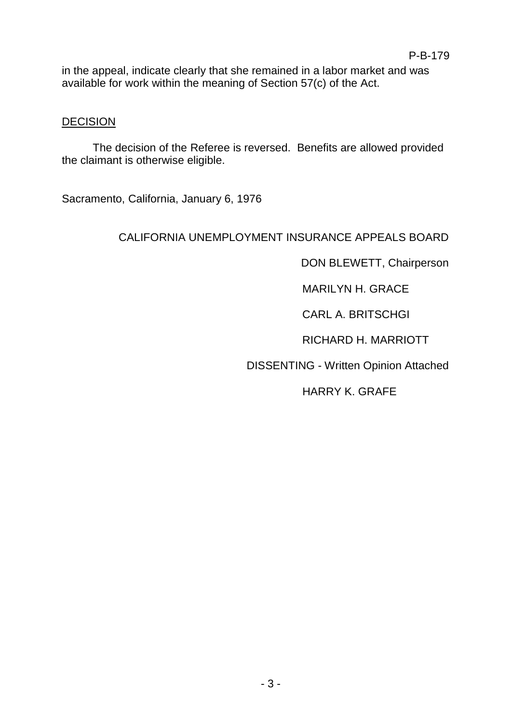in the appeal, indicate clearly that she remained in a labor market and was available for work within the meaning of Section 57(c) of the Act.

#### **DECISION**

The decision of the Referee is reversed. Benefits are allowed provided the claimant is otherwise eligible.

Sacramento, California, January 6, 1976

# CALIFORNIA UNEMPLOYMENT INSURANCE APPEALS BOARD

DON BLEWETT, Chairperson

MARILYN H. GRACE

CARL A. BRITSCHGI

RICHARD H. MARRIOTT

DISSENTING - Written Opinion Attached

HARRY K. GRAFE